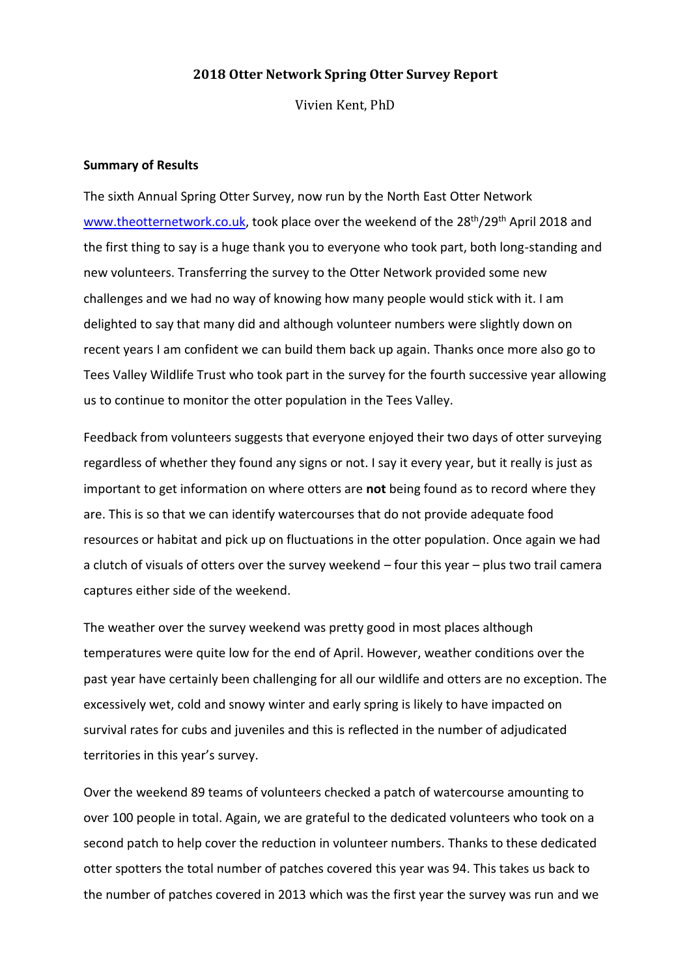### **2018 Otter Network Spring Otter Survey Report**

Vivien Kent, PhD

#### **Summary of Results**

The sixth Annual Spring Otter Survey, now run by the North East Otter Network [www.theotternetwork.co.uk,](http://www.theotternetwork.co.uk/) took place over the weekend of the 28<sup>th</sup>/29<sup>th</sup> April 2018 and the first thing to say is a huge thank you to everyone who took part, both long-standing and new volunteers. Transferring the survey to the Otter Network provided some new challenges and we had no way of knowing how many people would stick with it. I am delighted to say that many did and although volunteer numbers were slightly down on recent years I am confident we can build them back up again. Thanks once more also go to Tees Valley Wildlife Trust who took part in the survey for the fourth successive year allowing us to continue to monitor the otter population in the Tees Valley.

Feedback from volunteers suggests that everyone enjoyed their two days of otter surveying regardless of whether they found any signs or not. I say it every year, but it really is just as important to get information on where otters are **not** being found as to record where they are. This is so that we can identify watercourses that do not provide adequate food resources or habitat and pick up on fluctuations in the otter population. Once again we had a clutch of visuals of otters over the survey weekend – four this year – plus two trail camera captures either side of the weekend.

The weather over the survey weekend was pretty good in most places although temperatures were quite low for the end of April. However, weather conditions over the past year have certainly been challenging for all our wildlife and otters are no exception. The excessively wet, cold and snowy winter and early spring is likely to have impacted on survival rates for cubs and juveniles and this is reflected in the number of adjudicated territories in this year's survey.

Over the weekend 89 teams of volunteers checked a patch of watercourse amounting to over 100 people in total. Again, we are grateful to the dedicated volunteers who took on a second patch to help cover the reduction in volunteer numbers. Thanks to these dedicated otter spotters the total number of patches covered this year was 94. This takes us back to the number of patches covered in 2013 which was the first year the survey was run and we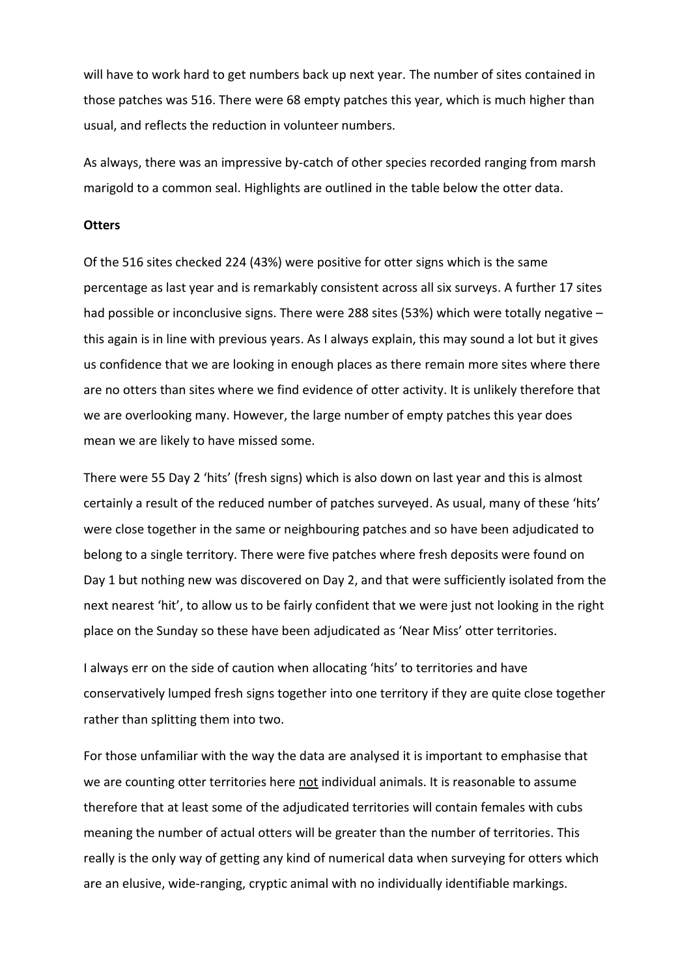will have to work hard to get numbers back up next year. The number of sites contained in those patches was 516. There were 68 empty patches this year, which is much higher than usual, and reflects the reduction in volunteer numbers.

As always, there was an impressive by-catch of other species recorded ranging from marsh marigold to a common seal. Highlights are outlined in the table below the otter data.

### **Otters**

Of the 516 sites checked 224 (43%) were positive for otter signs which is the same percentage as last year and is remarkably consistent across all six surveys. A further 17 sites had possible or inconclusive signs. There were 288 sites (53%) which were totally negative this again is in line with previous years. As I always explain, this may sound a lot but it gives us confidence that we are looking in enough places as there remain more sites where there are no otters than sites where we find evidence of otter activity. It is unlikely therefore that we are overlooking many. However, the large number of empty patches this year does mean we are likely to have missed some.

There were 55 Day 2 'hits' (fresh signs) which is also down on last year and this is almost certainly a result of the reduced number of patches surveyed. As usual, many of these 'hits' were close together in the same or neighbouring patches and so have been adjudicated to belong to a single territory. There were five patches where fresh deposits were found on Day 1 but nothing new was discovered on Day 2, and that were sufficiently isolated from the next nearest 'hit', to allow us to be fairly confident that we were just not looking in the right place on the Sunday so these have been adjudicated as 'Near Miss' otter territories.

I always err on the side of caution when allocating 'hits' to territories and have conservatively lumped fresh signs together into one territory if they are quite close together rather than splitting them into two.

For those unfamiliar with the way the data are analysed it is important to emphasise that we are counting otter territories here not individual animals. It is reasonable to assume therefore that at least some of the adjudicated territories will contain females with cubs meaning the number of actual otters will be greater than the number of territories. This really is the only way of getting any kind of numerical data when surveying for otters which are an elusive, wide-ranging, cryptic animal with no individually identifiable markings.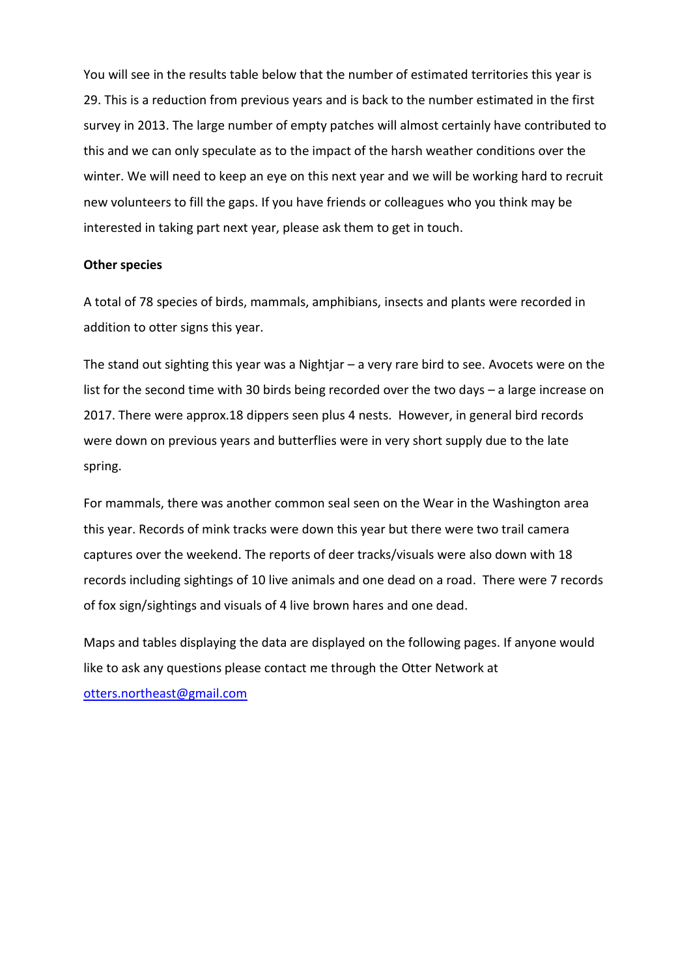You will see in the results table below that the number of estimated territories this year is 29. This is a reduction from previous years and is back to the number estimated in the first survey in 2013. The large number of empty patches will almost certainly have contributed to this and we can only speculate as to the impact of the harsh weather conditions over the winter. We will need to keep an eye on this next year and we will be working hard to recruit new volunteers to fill the gaps. If you have friends or colleagues who you think may be interested in taking part next year, please ask them to get in touch.

#### **Other species**

A total of 78 species of birds, mammals, amphibians, insects and plants were recorded in addition to otter signs this year.

The stand out sighting this year was a Nightjar – a very rare bird to see. Avocets were on the list for the second time with 30 birds being recorded over the two days – a large increase on 2017. There were approx.18 dippers seen plus 4 nests. However, in general bird records were down on previous years and butterflies were in very short supply due to the late spring.

For mammals, there was another common seal seen on the Wear in the Washington area this year. Records of mink tracks were down this year but there were two trail camera captures over the weekend. The reports of deer tracks/visuals were also down with 18 records including sightings of 10 live animals and one dead on a road. There were 7 records of fox sign/sightings and visuals of 4 live brown hares and one dead.

Maps and tables displaying the data are displayed on the following pages. If anyone would like to ask any questions please contact me through the Otter Network at [otters.northeast@gmail.com](mailto:otters.northeast@gmail.com)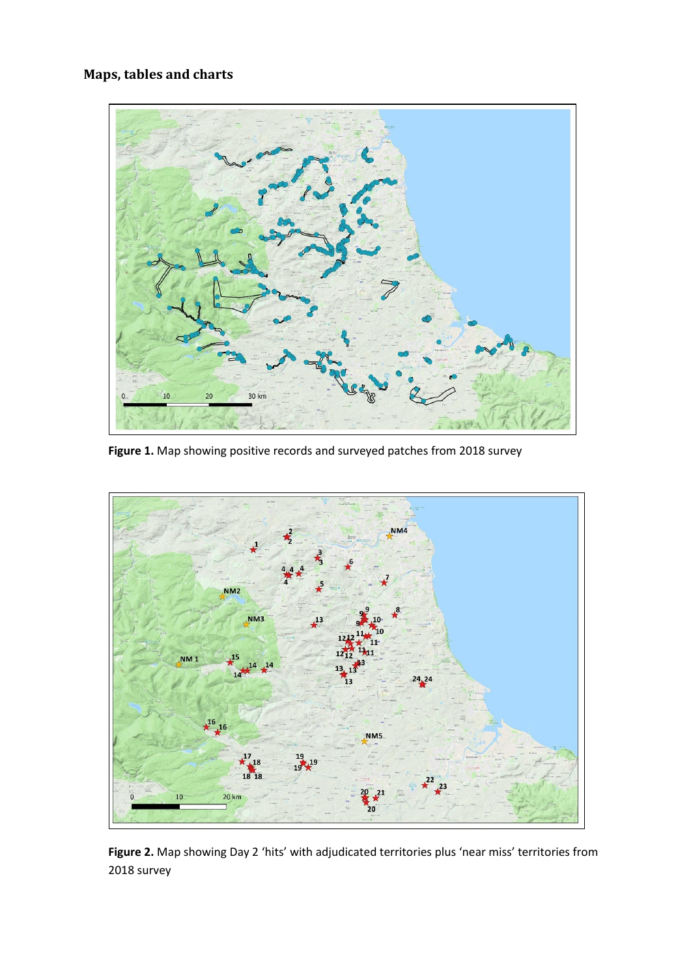## **Maps, tables and charts**



**Figure 1.** Map showing positive records and surveyed patches from 2018 survey



**Figure 2.** Map showing Day 2 'hits' with adjudicated territories plus 'near miss' territories from 2018 survey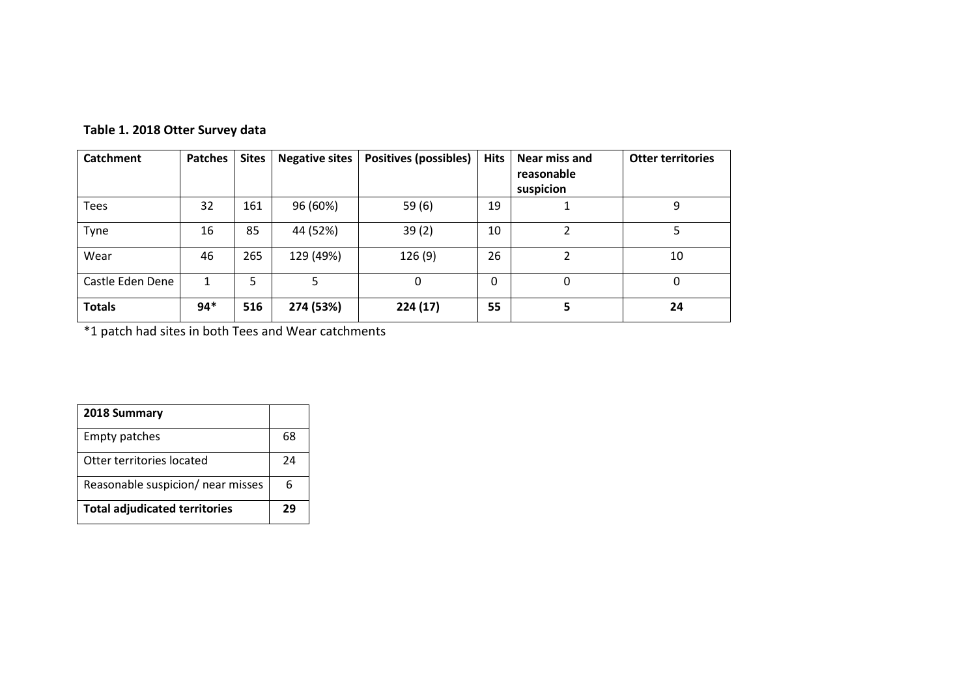| Catchment        | <b>Patches</b> | <b>Sites</b> | <b>Negative sites</b> | <b>Positives (possibles)</b> | <b>Hits</b>  | Near miss and<br>reasonable | <b>Otter territories</b> |
|------------------|----------------|--------------|-----------------------|------------------------------|--------------|-----------------------------|--------------------------|
|                  |                |              |                       |                              |              | suspicion                   |                          |
| <b>Tees</b>      | 32             | 161          | 96 (60%)              | 59(6)                        | 19           |                             | 9                        |
| Tyne             | 16             | 85           | 44 (52%)              | 39(2)                        | 10           | 2                           | 5                        |
| Wear             | 46             | 265          | 129 (49%)             | 126(9)                       | 26           | 2                           | 10                       |
| Castle Eden Dene |                | 5            | 5                     | 0                            | $\mathbf{0}$ | 0                           | 0                        |
| <b>Totals</b>    | $94*$          | 516          | 274 (53%)             | 224(17)                      | 55           | 5                           | 24                       |

# **Table 1. 2018 Otter Survey data**

\*1 patch had sites in both Tees and Wear catchments

| 2018 Summary                         |    |
|--------------------------------------|----|
| <b>Empty patches</b>                 | 68 |
| Otter territories located            | 24 |
| Reasonable suspicion/ near misses    | 6  |
| <b>Total adjudicated territories</b> | 29 |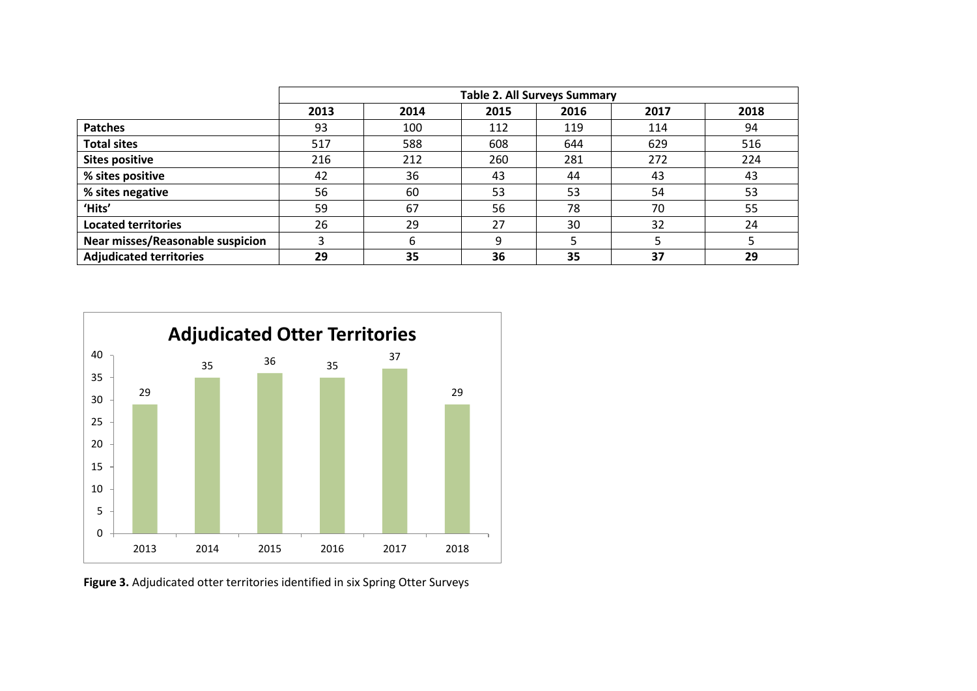|                                  | <b>Table 2. All Surveys Summary</b> |      |      |      |      |      |
|----------------------------------|-------------------------------------|------|------|------|------|------|
|                                  | 2013                                | 2014 | 2015 | 2016 | 2017 | 2018 |
| <b>Patches</b>                   | 93                                  | 100  | 112  | 119  | 114  | 94   |
| <b>Total sites</b>               | 517                                 | 588  | 608  | 644  | 629  | 516  |
| <b>Sites positive</b>            | 216                                 | 212  | 260  | 281  | 272  | 224  |
| % sites positive                 | 42                                  | 36   | 43   | 44   | 43   | 43   |
| % sites negative                 | 56                                  | 60   | 53   | 53   | 54   | 53   |
| 'Hits'                           | 59                                  | 67   | 56   | 78   | 70   | 55   |
| <b>Located territories</b>       | 26                                  | 29   | 27   | 30   | 32   | 24   |
| Near misses/Reasonable suspicion | 3                                   | 6    | q    |      |      |      |
| <b>Adjudicated territories</b>   | 29                                  | 35   | 36   | 35   | 37   | 29   |



**Figure 3.** Adjudicated otter territories identified in six Spring Otter Surveys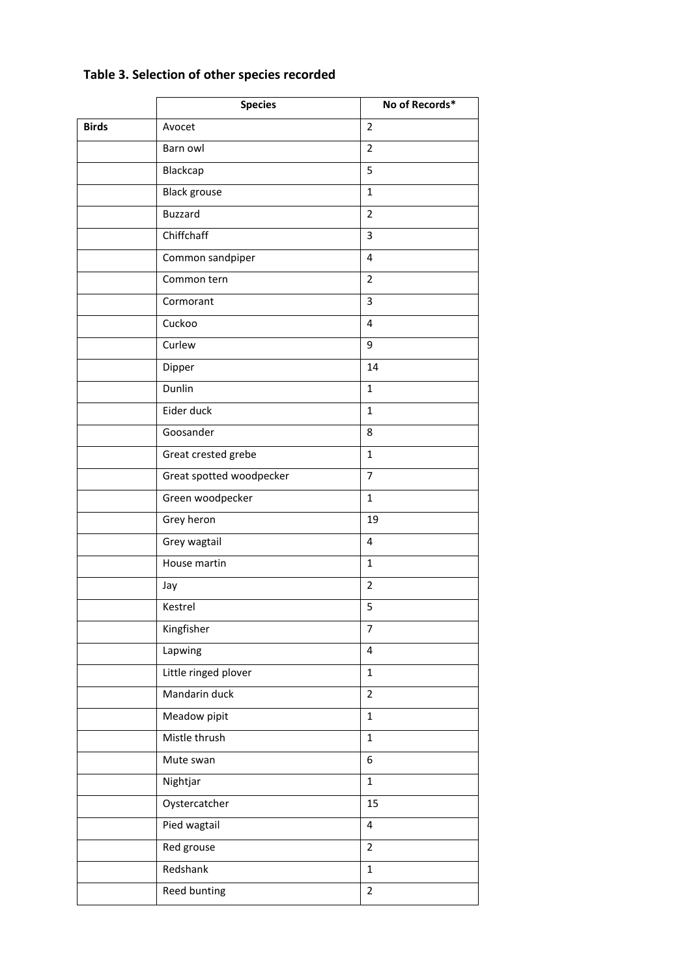# **Table 3. Selection of other species recorded**

|              | <b>Species</b>           | No of Records*          |
|--------------|--------------------------|-------------------------|
| <b>Birds</b> | Avocet                   | $\overline{2}$          |
|              | Barn owl                 | $\overline{2}$          |
|              | Blackcap                 | 5                       |
|              | <b>Black grouse</b>      | $\mathbf{1}$            |
|              | <b>Buzzard</b>           | $\overline{2}$          |
|              | Chiffchaff               | 3                       |
|              | Common sandpiper         | 4                       |
|              | Common tern              | $\overline{2}$          |
|              | Cormorant                | 3                       |
|              | Cuckoo                   | $\overline{\mathbf{4}}$ |
|              | Curlew                   | 9                       |
|              | Dipper                   | 14                      |
|              | Dunlin                   | $\mathbf{1}$            |
|              | Eider duck               | $\mathbf{1}$            |
|              | Goosander                | 8                       |
|              | Great crested grebe      | $\mathbf{1}$            |
|              | Great spotted woodpecker | $\overline{7}$          |
|              | Green woodpecker         | $\mathbf{1}$            |
|              | Grey heron               | 19                      |
|              | Grey wagtail             | $\overline{\mathbf{4}}$ |
|              | House martin             | $\mathbf{1}$            |
|              | Jay                      | $\overline{2}$          |
|              | Kestrel                  | 5                       |
|              | Kingfisher               | $\overline{7}$          |
|              | Lapwing                  | $\overline{\mathbf{4}}$ |
|              | Little ringed plover     | $\mathbf{1}$            |
|              | Mandarin duck            | $\overline{2}$          |
|              | Meadow pipit             | $\mathbf{1}$            |
|              | Mistle thrush            | $\mathbf{1}$            |
|              | Mute swan                | 6                       |
|              | Nightjar                 | $\mathbf{1}$            |
|              | Oystercatcher            | 15                      |
|              | Pied wagtail             | $\overline{4}$          |
|              | Red grouse               | $\overline{2}$          |
|              | Redshank                 | $\mathbf{1}$            |
|              | Reed bunting             | $\overline{2}$          |